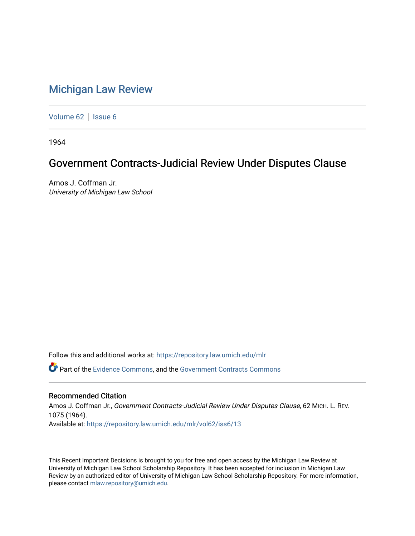# [Michigan Law Review](https://repository.law.umich.edu/mlr)

[Volume 62](https://repository.law.umich.edu/mlr/vol62) | [Issue 6](https://repository.law.umich.edu/mlr/vol62/iss6)

1964

## Government Contracts-Judicial Review Under Disputes Clause

Amos J. Coffman Jr. University of Michigan Law School

Follow this and additional works at: [https://repository.law.umich.edu/mlr](https://repository.law.umich.edu/mlr?utm_source=repository.law.umich.edu%2Fmlr%2Fvol62%2Fiss6%2F13&utm_medium=PDF&utm_campaign=PDFCoverPages) 

Part of the [Evidence Commons,](http://network.bepress.com/hgg/discipline/601?utm_source=repository.law.umich.edu%2Fmlr%2Fvol62%2Fiss6%2F13&utm_medium=PDF&utm_campaign=PDFCoverPages) and the [Government Contracts Commons](http://network.bepress.com/hgg/discipline/845?utm_source=repository.law.umich.edu%2Fmlr%2Fvol62%2Fiss6%2F13&utm_medium=PDF&utm_campaign=PDFCoverPages)

### Recommended Citation

Amos J. Coffman Jr., Government Contracts-Judicial Review Under Disputes Clause, 62 MICH. L. REV. 1075 (1964). Available at: [https://repository.law.umich.edu/mlr/vol62/iss6/13](https://repository.law.umich.edu/mlr/vol62/iss6/13?utm_source=repository.law.umich.edu%2Fmlr%2Fvol62%2Fiss6%2F13&utm_medium=PDF&utm_campaign=PDFCoverPages) 

This Recent Important Decisions is brought to you for free and open access by the Michigan Law Review at University of Michigan Law School Scholarship Repository. It has been accepted for inclusion in Michigan Law Review by an authorized editor of University of Michigan Law School Scholarship Repository. For more information, please contact [mlaw.repository@umich.edu.](mailto:mlaw.repository@umich.edu)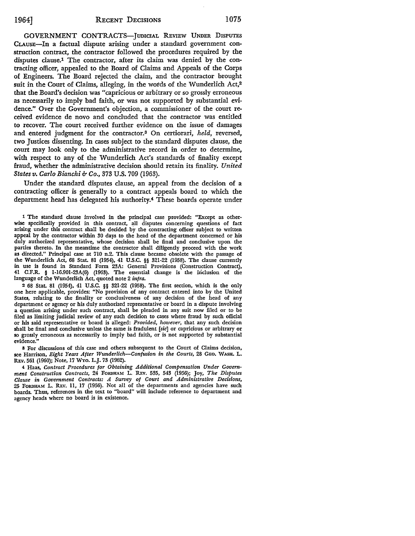GOVERNMENT CONTRACTS-JUDICIAL REVIEW UNDER DISPUTES CLAUSE-In a factual dispute arising under a standard government construction contract, the contractor followed the procedures required by the disputes clause.1 The contractor, after its claim was denied by the contracting officer, appealed to the Board of Claims and Appeals of the Corps of Engineers. The Board rejected the claim, and the contractor brought suit in the Court of Claims, alleging, in the words of the Wunderlich Act,<sup>2</sup> that the Board's decision was "capricious or arbitrary or so grossly erroneous as necessarily to imply bad faith, or was not supported by substantial evidence." Over the Government's objection, a commissioner of the court received evidence de novo and concluded that the contractor was entitled to recover. The court received further evidence on the issue of damages and entered judgment for the contractor.3 On certiorari, *held,* reversed, two Justices dissenting. In cases subject to the standard disputes clause, the court may look only to the administrative record in order to determine, with respect to any of the Wunderlich Act's standards of finality except fraud, whether the administrative decision should retain its finality. *United States v. Carlo Bianchi b Co.,* 373 U.S. 709 (1963).

Under the standard disputes clause, an appeal from the decision of a contracting officer is generally to a contract appeals board to which the department head has delegated his authority.4 These boards operate under

1 The standard clause involved in the principal case provided: "Except as otherwise specifically provided in this contract, all disputes concerning questions of fact arising under this contract shall be decided by the contracting officer subject to written appeal by the contractor within 30 days to the head of the department concerned or his duly authorized representative, whose decision shall be final and conclusive upon the parties thereto. In the meantime the contractor shall diligently proceed with the work **as** directed." Principal case at 710 n.2. This clause became obsolete with the passage of the Wunderlich Act, 68 Stat. 81 (1954), 41 U.S.C. §§ 321-22 (1958). The clause currently in use is found in Standard Form 23A: General Provisions (Construction Contract), 41 C.F.R. § 1-16.901-23A(6) (1963). The essential change is the inclusion of the language of the Wunderlich Act, quoted note 2 *infra.* 

<sup>2</sup>68 Stat. 81 (1954), 41 U.S.C. §§ 321-22 (1958). The first section, which is the only one here applicable, provides: "No provision of any contract entered into by the United **States,** relating to the finality or conclusiveness of any decision of the head of any department or agency or his duly authorized representative or board in a dispute involving a question arising under such contract, shall be pleaded in any suit now filed or to be filed as limiting judicial review of any such decision to cases where fraud by such official or his said representative or board is alleged: *Provided, however,* that any such decision shall be final and conclusive unless the same is fradulent *[sic]* or capricious or arbitrary or **so** grossly erroneous as necessarily to imply bad faith, or is not supported by substantial evidence."

3 For discussions of this case and others subsequent to the Court of Claims decision, see Harrison, *Eight Years After Wunderlich-Confusion in the Courts,* 28 GEO. WASH. L. REv. 561 (1960); Note, 17 WYo. L.J. 73 (1962).

4 Haas, *Contract Procedures for Obtaining Additional Compensation Under Government Construction Contracts,* 24 FORDHAM L. REv. 535, 543 (1956); Joy, *The Disputes Clause* in *Government Contracts: A Survey of Court and Administrative Decisions,*  25 FORDHAM L. REY. 11, 17 (1956). Not all of the departments and agencies have such boards. Thus, references in the text to "board" will include reference to department and agency heads where no board is in existence.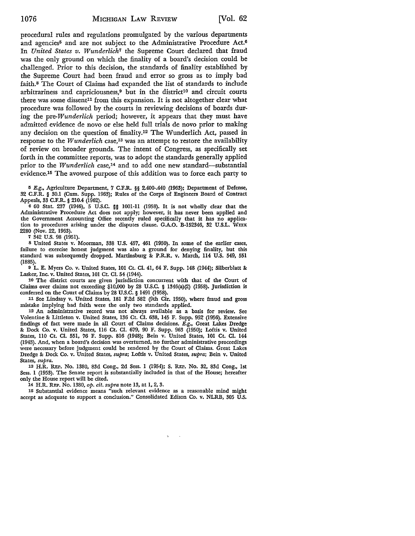procedural rules and regulations promulgated by the various departments and agencies<sup>5</sup> and are not subject to the Administrative Procedure Act.<sup>6</sup> In *United States v. Wunderlich1* the Supreme Court declared that fraud was the only ground on which the finality of a board's decision could be challenged. Prior to this decision, the standards of finality established by the Supreme Court had been fraud and error so gross as to imply bad faith.8 The Court of Claims had expanded the list of standards to include arbitrariness and capriciousness, $9$  but in the district<sup>10</sup> and circuit courts there was some dissent<sup>11</sup> from this expansion. It is not altogether clear what procedure was followed by the courts in reviewing decisions of boards during the *pre-Wunderlich* period; however, it appears that they must have admitted evidence de novo or else held full trials de novo prior to making any decision on the question of finality.12 The Wunderlich Act, passed in response to the *Wunderlich* case,13 was an attempt to restore the availability of review on broader grounds. The intent of Congress, as specifically set forth in the committee reports, was to adopt the standards generally applied prior to the *Wunderlich* case,<sup>14</sup> and to add one new standard-substantial evidence.15 The avowed purpose of this addition was to force each party to

5 E.g., Agriculture Department, 7 C.F.R. §§ 2.400-.440 (1963); Department of Defense, 32 C.F.R. § 30.1 (Cum. Supp. 1963); Rules of the Corps of Engineers Board of Contract

Appeals, 33 C.F.R. § 210.4 (1962). <sup>6</sup>60 Stat. 237 (1946), 5 U.S.C. §§ 1001-11 (1958). It is not wholly clear that the Administrative Procedure Act does not apply; however, it has never been applied and the Government Accounting Office recently ruled specifically that it has no application to procedures arising under the disputes clause. G.A.O. B-152346, 32 U.S.L. WEEK 2280 (Nov. 22, 1963).

7 342 U.S. 98 (1951).

s United States v. Moorman, 338 U.S. 457, 461 (1950). In some of the earlier cases, failure to exercise honest judgment was also a ground for denying finality, but this standard was subsequently dropped. Martinsburg & P.R.R. v. March, 114 U.S. 549, 551 (1885).

<sup>9</sup>L. E. Myers Co. v. United States, 101 Ct. Cl. 41, 64 F. Supp. 148 (1944); Silberblatt & Lasker, Inc. v. United States, 101 Ct. Cl. 54 (1944).

10 The district courts are given jurisdiction concurrent with that of the Court of Claims over claims not exceeding \$10,000 by 28 U.S.C. § 1346(a)(2) (1958). Jurisdiction is conferred on the Court of Claims by 28 U.S.C. § 1491 (1958).

11 See Lindsay v. United States, 181 F.2d 582 (9th Cir. 1950), where fraud and gross mistake implying bad faith were the only two standards applied.

12 An administrative record was not always available as a basis for review. See Volentine & Littleton v. United States, 136 Ct. Cl. 638, 145 F. Supp. 952 (1956). Extensive findings of fact were made in all Court of Claims decisions. E.g., Great Lakes Dredge & Dock Co. v. United States, 116 Ct. Cl. 679, 90 F. Supp. 963 (1950); Loftis v. United States, 110 Ct. Cl. 551, 76 F. Supp. 816 (1948); Bein v. United States, 101 Ct. Cl. 144 (1943). And, when a board's decision was overturned, no further administrative proceedings were necessary before judgment could be rendered by the Court of Claims. Great Lakes Dredge & Dock Co. v. United States, *supra;* Loftis v. United States, *supra;* Bein v. United States, *supra.* 

13 H.R. REP. No. 1380, 83d Cong., 2d Sess. 1 (1954); S. REP. No. 32, 83d Cong., 1st Sess. 1 (1953). The Senate report is substantially included in that of the House; hereafter only the House report will be cited.

14 H.R. REP. No. 1380, *op. cit. supra* note 13, at 1, 2, 3.

15 Substantial evidence means "such relevant evidence as a reasonable mind might accept as adequate to support a conclusion." Consolidated Edison Co. v. NLRB, 305 U.S.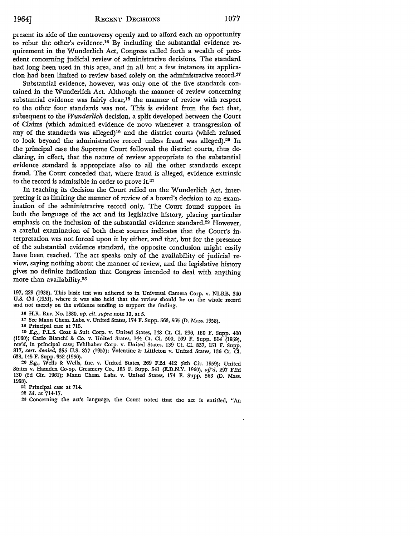present its side of the controversy openly and to afford each an opportunity to rebut the other's evidence.16 By including the substantial evidence requirement in the Wunderlich Act, Congress called forth a wealth of precedent concerning judicial review of administrative decisions. The standard had long been used in this area, and in all but a few instances its application had been limited to review based solely on the administrative record.17

Substantial evidence, however, was only one of the five standards contained in the Wunderlich Act. Although the manner of review concerning substantial evidence was fairly clear,<sup>18</sup> the manner of review with respect to the other four standards was not. This is evident from the fact that, subsequent to the *Wunderlich* decision, a split developed between the Court of Claims (which admitted evidence de novo whenever a transgression of any of the standards was alleged)19 and the district courts (which refused to look beyond the administrative record unless fraud was alleged).20 In the principal case the Supreme Court followed the district courts, thus declaring, in effect, that the nature of review appropriate to the substantial evidence standard is appropriate also to all the other standards except fraud. The Court conceded that, where fraud is alleged, evidence extrinsic to the record is admissible in order to prove it.21

In reaching its decision the Court relied on the Wunderlich Act, interpreting it as limiting the manner of review of a board's decision to an examination of the administrative record only. The Court found support in both the language of the act and its legislative history, placing particular emphasis on the inclusion of the substantial evidence standard.22 However, a careful examination of both these sources indicates that the Court's interpretation was not forced upon it by either, and that, but for the presence of the substantial evidence standard, the opposite conclusion might easily have been reached. The act speaks only of the availability of judicial review, saying nothing about the manner of review, and the legislative history gives no definite indication that Congress intended to deal with anything more than availability.<sup>23</sup>

197, 229 (1938). This basic test was adhered to in Universal Camera Corp. v. NLRB, 340 U.S. 474 (1951), where it was also held that the review should be on the whole record and not merely on the evidence tending to support the finding.

16 H.R. REP. No. 1380, *op. cit. supra* note 13, at 5.

17 See Mann Chem. Labs. v. United States, 174 F. Supp. 563,565 (D. Mass. 1958).

18 Principal case at 715.

19 E.g., P.L.S. Coat &: Suit Corp. v. United States, 148 Ct. CI. 296, 180 F. Supp. 400 (1960); Carlo Bianchi &: Co. v. United States, 144 Ct. CI. 500, 169 F. Supp. 514 (1959), *rev'd,* in principal case; Fehlhaber Corp. v. United States, 139 Ct. Cl. 837, 151 F. Supp. 817, *cert. denied,* 355 U.S. 877 (1957); Volentine &: Littleton v. United States, 136 Ct. Cl. 638, 145 F. Supp. 952 (1956).

20 E.g., Wells &: Wells, Inc. v. United States, 269 F.2d 412 (8th Cir. 1959); United States v. Hamden Co-op. Creamery Co., 185 F. Supp. 541 (E.D.N.Y. 1960), *afj'd,* 297 F.2d 130 (2d Cir. 1961); Mann Chem. Labs. v. United States, 174 F. Supp. 563 (D. Mass. 1958).

21 Principal case at 714.

22 *Id.* at 714-17.

23 Concerning the act's language, the Court noted that the act is entitled, "An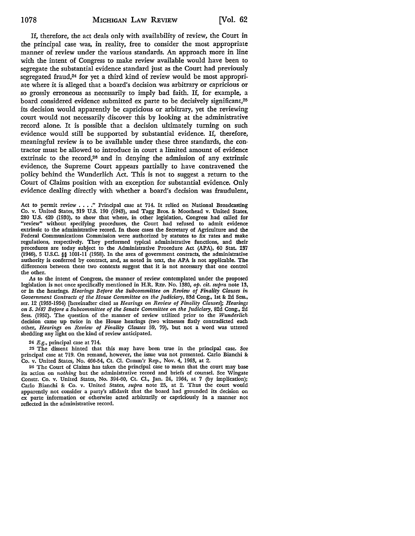If, therefore, the act deals only with availability of review, the Court in the principal case was, in reality, free to consider the most appropriate manner of review under the various standards. An approach more in line with the intent of Congress to make review available would have been to segregate the substantial evidence standard just as the Court had previously segregated fraud,<sup>24</sup> for yet a third kind of review would be most appropriate where it is alleged that a board's decision was arbitrary or capricious or so grossly erroneous as necessarily to imply bad faith. If, for example, a board considered evidence submitted ex parte to be decisively significant,2G its decision would apparently be capricious or arbitrary, yet the reviewing court would not necessarily discover *this* by looking at the administrative record alone. It is possible that a decision ultimately turning on such evidence would still be supported by substantial evidence. If, therefore, meaningful review is to be available under these three standards, the contractor must be allowed to introduce in court a limited amount of evidence extrinsic to the record,<sup>26</sup> and in denying the admission of any extrinsic evidence, the Supreme Court appears partially to have contravened the policy behind the Wunderlich Act. This is not to suggest a return to the Court of Claims position with an exception for substantial evidence. Only evidence dealing directly with whether a board's decision was fraudulent,

Act to permit review . . . . " Principal case at 714. It relied on National Broadcasting Co. v. United States, 319 U.S. 190 (1943), and Tagg Bros. & Moorhead v. United **States,**  280 U.S. 420 (1930), to show that where, in other legislation, Congress had called for "review" without specifying procedures, the Court had refused to admit evidence extrinsic to the administrative record. In those cases the Secretary of Agriculture and the Federal Communications Commission were authorized by statutes to fix rates and make regulations, respectively. They performed typical administrative functions, and their procedures are today subject to the Administrative Procedure Act (APA), 60 Stat. 237 (1946), 5 U.S.C. §§ 1001-11 (1958). In the area of government contracts, the administrative authority is conferred by contract, and, as noted in text, the APA is not applicable. The differences between these two contexts suggest that it is not necessary that one control the other.

As to the intent of Congress, the manner of review contemplated under the proposed legislation is not once specifically mentioned in H.R. REP. No. 1380, *op. cit. supra* note 13, or in the hearings. *Hearings Before the Subcommittee on Review of Finality Clauses in Government Contracts of the House Committee on the Judiciary,* 83d Cong., 1st &: 2d Sess., ser. 12 (1953-1954) [hereinafter cited as *Hearings on Review of Finality Clauses]; Hearings on S. 2487 Before a Subcommittee of the Senate Committee on the Judiciary,* 82d Cong., 2d Sess. (1952). The question of the manner of review utilized prior to the *Wunderlich*  decision came up twice in the House hearings (two witnesses flatly contradicted each other, *Hearings on Review of Finality Clauses* 59, 79), but not a word was uttered shedding any light on the kind of review anticipated.

#### 24 E.g., principal case at 714.

25 The dissent hinted that this may have been true in the principal case. See principal case at 719. On remand, however, the issue was not presented. Carlo Bianchi &: Co. v. United States, No. 466-54, Ct. Cl. Comm'r Rep., Nov. 4, 1963, at 2.

26 The Court of Claims has taken the principal case to mean that the court may base its action on *nothing* but the administrative record and briefs of counsel. See 'Wingate Constr. Co. v. United States, No. 394-60, Ct. Cl., Jan. 24, 1964, at 7 (by implication); Carlo Bianchi & Co. v. United States, *supra* note 25, at 2. Thus the court would apparently not consider a party's affidavit that the board had grounded its decision on ex parte information or otherwise acted arbitrarily or capriciously in a manner not reflected in the administrative record.